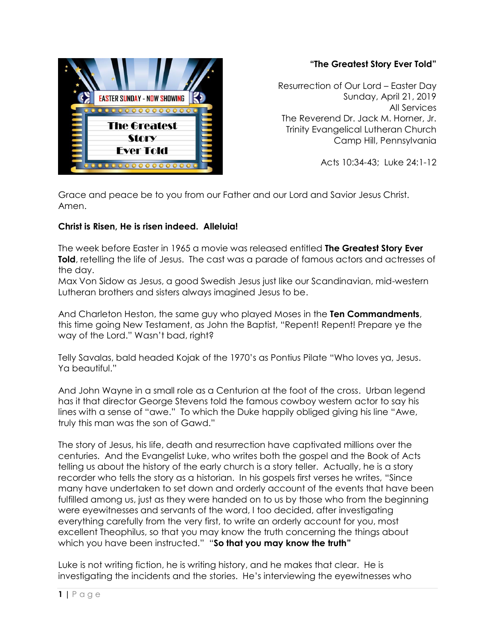

## **"The Greatest Story Ever Told"**

Resurrection of Our Lord – Easter Day Sunday, April 21, 2019 All Services The Reverend Dr. Jack M. Horner, Jr. Trinity Evangelical Lutheran Church Camp Hill, Pennsylvania

Acts 10:34-43; Luke 24:1-12

Grace and peace be to you from our Father and our Lord and Savior Jesus Christ. Amen.

## **Christ is Risen, He is risen indeed. Alleluia!**

The week before Easter in 1965 a movie was released entitled **The Greatest Story Ever Told**, retelling the life of Jesus. The cast was a parade of famous actors and actresses of the day.

Max Von Sidow as Jesus, a good Swedish Jesus just like our Scandinavian, mid-western Lutheran brothers and sisters always imagined Jesus to be.

And Charleton Heston, the same guy who played Moses in the **Ten Commandments**, this time going New Testament, as John the Baptist, "Repent! Repent! Prepare ye the way of the Lord." Wasn't bad, right?

Telly Savalas, bald headed Kojak of the 1970's as Pontius Pilate "Who loves ya, Jesus. Ya beautiful."

And John Wayne in a small role as a Centurion at the foot of the cross. Urban legend has it that director George Stevens told the famous cowboy western actor to say his lines with a sense of "awe." To which the Duke happily obliged giving his line "Awe, truly this man was the son of Gawd."

The story of Jesus, his life, death and resurrection have captivated millions over the centuries. And the Evangelist Luke, who writes both the gospel and the Book of Acts telling us about the history of the early church is a story teller. Actually, he is a story recorder who tells the story as a historian. In his gospels first verses he writes, "Since many have undertaken to set down and orderly account of the events that have been fulfilled among us, just as they were handed on to us by those who from the beginning were eyewitnesses and servants of the word, I too decided, after investigating everything carefully from the very first, to write an orderly account for you, most excellent Theophilus, so that you may know the truth concerning the things about which you have been instructed." "**So that you may know the truth"**

Luke is not writing fiction, he is writing history, and he makes that clear. He is investigating the incidents and the stories. He's interviewing the eyewitnesses who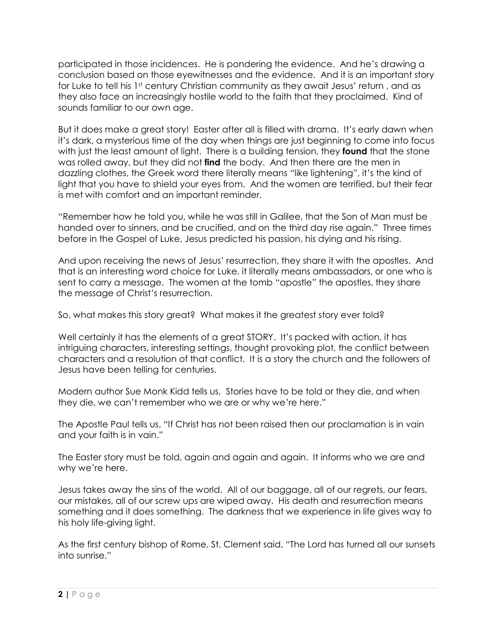participated in those incidences. He is pondering the evidence. And he's drawing a conclusion based on those eyewitnesses and the evidence. And it is an important story for Luke to tell his 1<sup>st</sup> century Christian community as they await Jesus' return, and as they also face an increasingly hostile world to the faith that they proclaimed. Kind of sounds familiar to our own age.

But it does make a great story! Easter after all is filled with drama. It's early dawn when it's dark, a mysterious time of the day when things are just beginning to come into focus with just the least amount of light. There is a building tension, they **found** that the stone was rolled away, but they did not **find** the body. And then there are the men in dazzling clothes, the Greek word there literally means "like lightening", it's the kind of light that you have to shield your eyes from. And the women are terrified, but their fear is met with comfort and an important reminder.

"Remember how he told you, while he was still in Galilee, that the Son of Man must be handed over to sinners, and be crucified, and on the third day rise again." Three times before in the Gospel of Luke, Jesus predicted his passion, his dying and his rising.

And upon receiving the news of Jesus' resurrection, they share it with the apostles. And that is an interesting word choice for Luke, it literally means ambassadors, or one who is sent to carry a message. The women at the tomb "apostle" the apostles, they share the message of Christ's resurrection.

So, what makes this story great? What makes it the greatest story ever told?

Well certainly it has the elements of a great STORY. It's packed with action, it has intriguing characters, interesting settings, thought provoking plot, the conflict between characters and a resolution of that conflict. It is a story the church and the followers of Jesus have been telling for centuries.

Modern author Sue Monk Kidd tells us. Stories have to be told or they die, and when they die, we can't remember who we are or why we're here."

The Apostle Paul tells us, "If Christ has not been raised then our proclamation is in vain and your faith is in vain."

The Easter story must be told, again and again and again. It informs who we are and why we're here.

Jesus takes away the sins of the world. All of our baggage, all of our regrets, our fears, our mistakes, all of our screw ups are wiped away. His death and resurrection means something and it does something. The darkness that we experience in life gives way to his holy life-giving light.

As the first century bishop of Rome, St. Clement said, "The Lord has turned all our sunsets into sunrise."